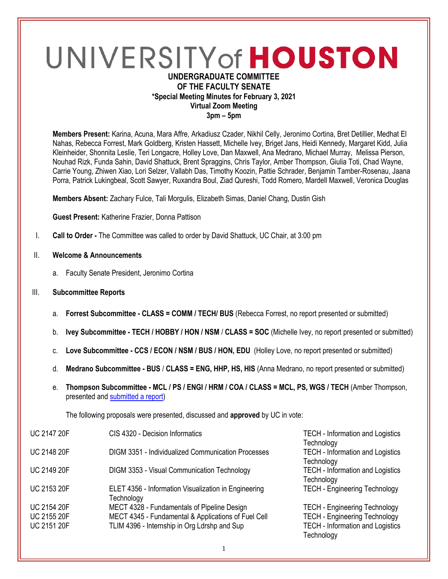# UNIVERSITY of HOUSTON

# **UNDERGRADUATE COMMITTEE OF THE FACULTY SENATE \*Special Meeting Minutes for February 3, 2021 Virtual Zoom Meeting 3pm – 5pm**

**Members Present:** Karina, Acuna, Mara Affre, Arkadiusz Czader, Nikhil Celly, Jeronimo Cortina, Bret Detillier, Medhat El Nahas, Rebecca Forrest, Mark Goldberg, Kristen Hassett, Michelle Ivey, Briget Jans, Heidi Kennedy, Margaret Kidd, Julia Kleinheider, Shonnita Leslie, Teri Longacre, Holley Love, Dan Maxwell, Ana Medrano, Michael Murray, Melissa Pierson, Nouhad Rizk, Funda Sahin, David Shattuck, Brent Spraggins, Chris Taylor, Amber Thompson, Giulia Toti, Chad Wayne, Carrie Young, Zhiwen Xiao, Lori Selzer, Vallabh Das, Timothy Koozin, Pattie Schrader, Benjamin Tamber-Rosenau, Jaana Porra, Patrick Lukingbeal, Scott Sawyer, Ruxandra Boul, Ziad Qureshi, Todd Romero, Mardell Maxwell, Veronica Douglas

**Members Absent:** Zachary Fulce, Tali Morgulis, Elizabeth Simas, Daniel Chang, Dustin Gish

**Guest Present:** Katherine Frazier, Donna Pattison

- I. **Call to Order -** The Committee was called to order by David Shattuck, UC Chair, at 3:00 pm
- II. **Welcome & Announcements**
	- a. Faculty Senate President, Jeronimo Cortina
- III. **Subcommittee Reports**
	- a. **Forrest Subcommittee - CLASS = COMM / TECH/ BUS** (Rebecca Forrest, no report presented or submitted)
	- b. **Ivey Subcommittee - TECH / HOBBY / HON / NSM** / **CLASS = SOC** (Michelle Ivey, no report presented or submitted)
	- c. **Love Subcommittee - CCS / ECON / NSM / BUS / HON, EDU** (Holley Love, no report presented or submitted)
	- d. **Medrano Subcommittee - BUS** / **CLASS = ENG, HHP, HS, HIS** (Anna Medrano, no report presented or submitted)
	- e. **Thompson Subcommittee - MCL / PS / ENGI / HRM / COA / CLASS = MCL, PS, WGS / TECH** (Amber Thompson, presented and [submitted a report\)](https://uofh.sharepoint.com/:w:/s/uc/admin/Ed9IoQi6XklHqfP4TCRX2CYBk7oZSRZATzIlWDGcnwuBGQ?e=hgJjPv)

The following proposals were presented, discussed and **approved** by UC in vote:

| <b>UC 2147 20F</b> | CIS 4320 - Decision Informatics                                    | <b>TECH - Information and Logistics</b><br>Technology |
|--------------------|--------------------------------------------------------------------|-------------------------------------------------------|
| <b>UC 2148 20F</b> | DIGM 3351 - Individualized Communication Processes                 | <b>TECH - Information and Logistics</b><br>Technology |
| <b>UC 2149 20F</b> | DIGM 3353 - Visual Communication Technology                        | <b>TECH - Information and Logistics</b>               |
| <b>UC 2153 20F</b> | ELET 4356 - Information Visualization in Engineering<br>Technology | Technology<br><b>TECH - Engineering Technology</b>    |
| <b>UC 2154 20F</b> | MECT 4328 - Fundamentals of Pipeline Design                        | <b>TECH - Engineering Technology</b>                  |
| <b>UC 2155 20F</b> | MECT 4345 - Fundamental & Applications of Fuel Cell                | <b>TECH - Engineering Technology</b>                  |
| <b>UC 2151 20F</b> | TLIM 4396 - Internship in Org Ldrshp and Sup                       | <b>TECH - Information and Logistics</b><br>Technology |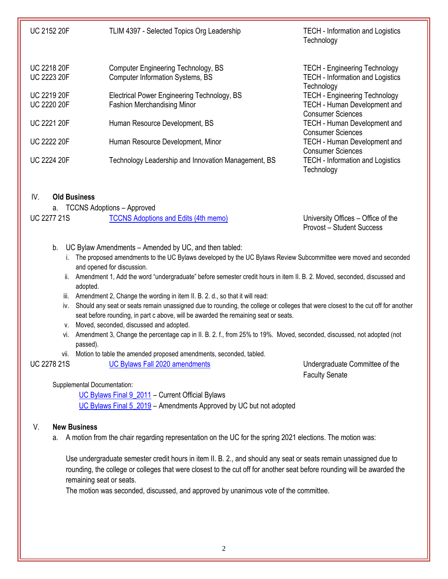| <b>UC 2152 20F</b> | TLIM 4397 - Selected Topics Org Leadership          | <b>TECH</b> - Information and Logistics<br>Technology           |
|--------------------|-----------------------------------------------------|-----------------------------------------------------------------|
| <b>UC 2218 20F</b> | <b>Computer Engineering Technology, BS</b>          | <b>TECH - Engineering Technology</b>                            |
| <b>UC 2223 20F</b> | <b>Computer Information Systems, BS</b>             | <b>TECH - Information and Logistics</b><br>Technology           |
| <b>UC 2219 20F</b> | Electrical Power Engineering Technology, BS         | <b>TECH - Engineering Technology</b>                            |
| <b>UC 2220 20F</b> | <b>Fashion Merchandising Minor</b>                  | TECH - Human Development and<br><b>Consumer Sciences</b>        |
| <b>UC 2221 20F</b> | Human Resource Development, BS                      | <b>TECH - Human Development and</b><br><b>Consumer Sciences</b> |
| <b>UC 2222 20F</b> | Human Resource Development, Minor                   | <b>TECH - Human Development and</b><br><b>Consumer Sciences</b> |
| <b>UC 2224 20F</b> | Technology Leadership and Innovation Management, BS | <b>TECH - Information and Logistics</b><br>Technology           |

### IV. **Old Business**

a. TCCNS Adoptions – Approved

University Offices – Office of the Provost – Student Success

- b. UC Bylaw Amendments Amended by UC, and then tabled:
	- i. The proposed amendments to the UC Bylaws developed by the UC Bylaws Review Subcommittee were moved and seconded and opened for discussion.
	- ii. Amendment 1, Add the word "undergraduate" before semester credit hours in item II. B. 2. Moved, seconded, discussed and adopted.
	- iii. Amendment 2, Change the wording in item II. B. 2. d., so that it will read:
	- iv. Should any seat or seats remain unassigned due to rounding, the college or colleges that were closest to the cut off for another seat before rounding, in part c above, will be awarded the remaining seat or seats.
	- v. Moved, seconded, discussed and adopted.
	- vi. Amendment 3, Change the percentage cap in II. B. 2. f., from 25% to 19%. Moved, seconded, discussed, not adopted (not passed).
	- vii. Motion to table the amended proposed amendments, seconded, tabled.

UC 2278 21S [UC Bylaws Fall 2020 amendments](https://uofh.sharepoint.com/:li:/s/uc/E59p8O7QoOpEij9znxz3LJUBo41qRhLtdx4TgRbfflOWZQ?e=2R1vOe) Undergraduate Committee of the Faculty Senate

Supplemental Documentation:

[UC Bylaws Final 9\\_2011](https://uofh.sharepoint.com/sites/uc/admin/Shared%20Documents/Bylaws/BYLAWS%20FALL%202020/UC%20Bylaws%20Final%209_2011.doc?d=wd0126a2f1d244a9991979d981384d3a5) – Current Official Bylaws [UC Bylaws Final 5\\_2019](https://uofh.sharepoint.com/sites/uc/admin/Shared%20Documents/Bylaws/BYLAWS%20FALL%202020/UC%20Bylaws%20Final%205_2019.docx?d=wc2a2804a2ebb450fa34987509321eb2f) – Amendments Approved by UC but not adopted

## V. **New Business**

a. A motion from the chair regarding representation on the UC for the spring 2021 elections. The motion was:

Use undergraduate semester credit hours in item II. B. 2., and should any seat or seats remain unassigned due to rounding, the college or colleges that were closest to the cut off for another seat before rounding will be awarded the remaining seat or seats.

The motion was seconded, discussed, and approved by unanimous vote of the committee.